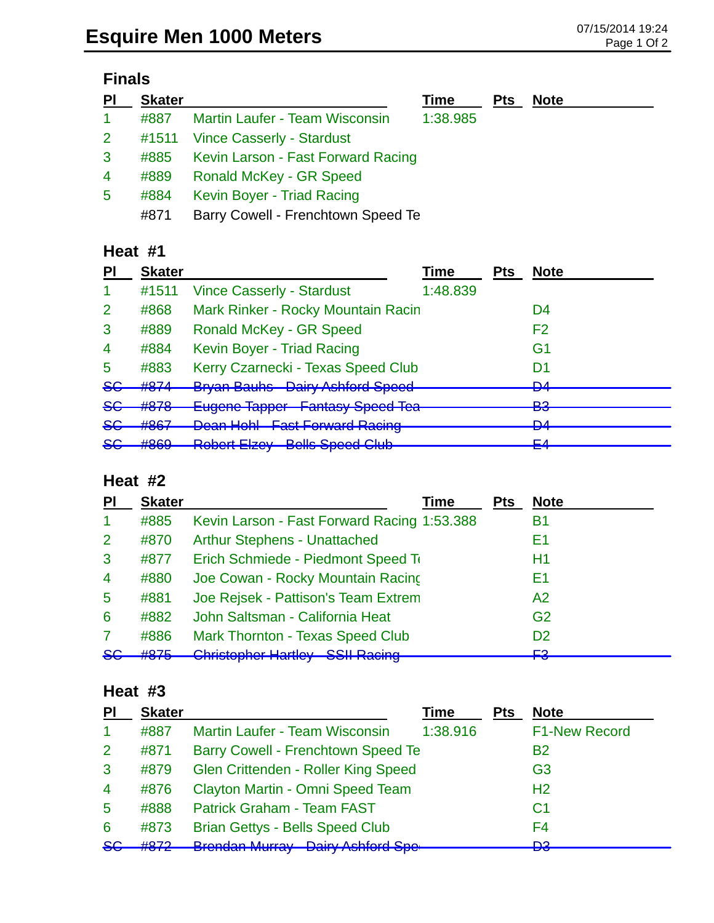# **Finals**

| P <sub>1</sub> | <b>Skater</b> |                                         | Time     | <b>Pts</b> | <b>Note</b> |
|----------------|---------------|-----------------------------------------|----------|------------|-------------|
| $\mathbf{1}$   | #887          | Martin Laufer - Team Wisconsin          | 1:38.985 |            |             |
| 2 <sup>7</sup> |               | #1511 Vince Casserly - Stardust         |          |            |             |
| $\mathbf{3}$   |               | #885 Kevin Larson - Fast Forward Racing |          |            |             |
| 4              | #889          | <b>Ronald McKey - GR Speed</b>          |          |            |             |
| 5              | #884          | Kevin Boyer - Triad Racing              |          |            |             |
|                | #871          | Barry Cowell - Frenchtown Speed Te      |          |            |             |

# **Heat #1**

| ΡI             | <b>Skater</b>            |                                        | Time     | Pts | <b>Note</b>    |
|----------------|--------------------------|----------------------------------------|----------|-----|----------------|
|                | #1511                    | <b>Vince Casserly - Stardust</b>       | 1:48.839 |     |                |
| $\overline{2}$ | #868                     | Mark Rinker - Rocky Mountain Racin     |          |     | D4             |
| 3              | #889                     | Ronald McKey - GR Speed                |          |     | F2             |
| $\overline{4}$ | #884                     | Kevin Boyer - Triad Racing             |          |     | G1             |
| 5              | #883                     | Kerry Czarnecki - Texas Speed Club     |          |     | D1             |
| <del>SG</del>  | #874                     | <b>Bryan Bauhs</b> Dairy Ashford Speed |          |     | <b>D</b><br>▱  |
| <del>SG</del>  | #878                     | Eugene Tapper Fantasy Speed Tea        |          |     | פם<br>◛        |
| <del>SG</del>  | HQQ7<br>$\pi$ out        | <b>Dean Hohl Fast Forward Racing</b>   |          |     | <b>DA</b><br>▱ |
| 86             | HQCO<br><del>11000</del> | <b>Robert Elzey Bells Speed Club</b>   |          |     | ᆮ<br><b>ET</b> |
|                |                          |                                        |          |     |                |

#### **Heat #2**

| PI             | <b>Skater</b>     | Time                                                                                     | <b>Pts</b> | <b>Note</b>      |
|----------------|-------------------|------------------------------------------------------------------------------------------|------------|------------------|
| -1             | #885              | Kevin Larson - Fast Forward Racing 1:53.388                                              |            | B1               |
| $\overline{2}$ | #870              | <b>Arthur Stephens - Unattached</b>                                                      |            | E1               |
| 3              | #877              | Erich Schmiede - Piedmont Speed To                                                       |            | H1               |
| $\overline{4}$ | #880              | Joe Cowan - Rocky Mountain Racing                                                        |            | E1               |
| 5              | #881              | Joe Rejsek - Pattison's Team Extrem                                                      |            | A2               |
| 6              | #882              | John Saltsman - California Heat                                                          |            | G <sub>2</sub>   |
|                | #886              | Mark Thornton - Texas Speed Club                                                         |            | D <sub>2</sub>   |
| <del>SG</del>  | HQZE<br>$\pi$ utu | Christophor Hartloy CCII Dooing<br><del>Umiolophor ridriloy</del><br><b>OOIL Raoling</b> |            | <b>E2</b><br>᠇᠊ᢦ |

#### **Heat #3**

| <b>F1-New Record</b> |
|----------------------|
|                      |
|                      |
|                      |
|                      |
|                      |
|                      |
|                      |